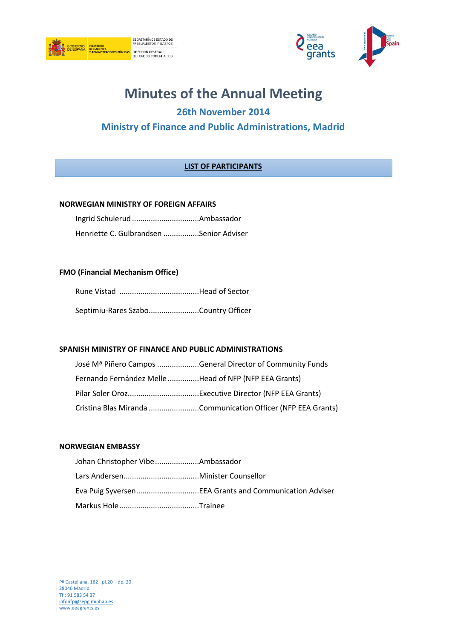



# **Minutes of the Annual Meeting**

# **26th November 2014**

## **Ministry of Finance and Public Administrations, Madrid**

## **LIST OF PARTICIPANTS**

#### **NORWEGIAN MINISTRY OF FOREIGN AFFAIRS**

| Henriette C. Gulbrandsen Senior Adviser |  |
|-----------------------------------------|--|

#### **FMO (Financial Mechanism Office)**

|  | Septimiu-Rares SzaboCountry Officer |
|--|-------------------------------------|

#### **SPANISH MINISTRY OF FINANCE AND PUBLIC ADMINISTRATIONS**

|                                                       | José M <sup>a</sup> Piñero Campos General Director of Community Funds |
|-------------------------------------------------------|-----------------------------------------------------------------------|
| Fernando Fernández Melle Head of NFP (NFP EEA Grants) |                                                                       |
|                                                       |                                                                       |
|                                                       | Cristina Blas Miranda Communication Officer (NFP EEA Grants)          |

#### **NORWEGIAN EMBASSY**

| Johan Christopher VibeAmbassador |  |
|----------------------------------|--|
|                                  |  |
|                                  |  |
|                                  |  |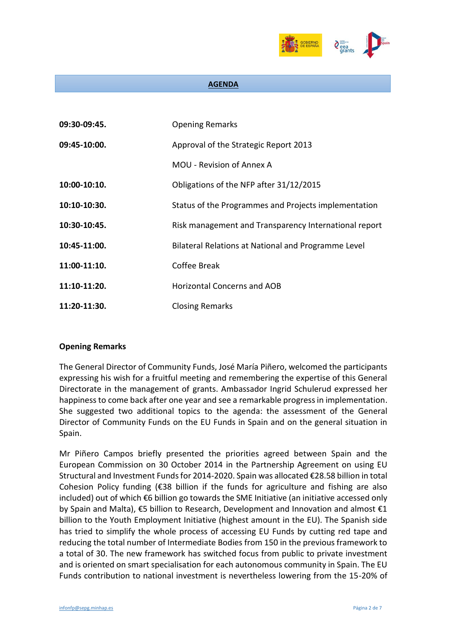

#### **AGENDA**

| 09:30-09:45. | <b>Opening Remarks</b>                                |
|--------------|-------------------------------------------------------|
| 09:45-10:00. | Approval of the Strategic Report 2013                 |
|              | MOU - Revision of Annex A                             |
| 10:00-10:10. | Obligations of the NFP after 31/12/2015               |
| 10:10-10:30. | Status of the Programmes and Projects implementation  |
| 10:30-10:45. | Risk management and Transparency International report |
| 10:45-11:00. | Bilateral Relations at National and Programme Level   |
| 11:00-11:10. | Coffee Break                                          |
| 11:10-11:20. | Horizontal Concerns and AOB                           |
| 11:20-11:30. | <b>Closing Remarks</b>                                |

#### **Opening Remarks**

The General Director of Community Funds, José María Piñero, welcomed the participants expressing his wish for a fruitful meeting and remembering the expertise of this General Directorate in the management of grants. Ambassador Ingrid Schulerud expressed her happiness to come back after one year and see a remarkable progress in implementation. She suggested two additional topics to the agenda: the assessment of the General Director of Community Funds on the EU Funds in Spain and on the general situation in Spain.

Mr Piñero Campos briefly presented the priorities agreed between Spain and the European Commission on 30 October 2014 in the Partnership Agreement on using EU Structural and Investment Funds for 2014-2020. Spain was allocated €28.58 billion in total Cohesion Policy funding ( $\epsilon$ 38 billion if the funds for agriculture and fishing are also included) out of which €6 billion go towards the SME Initiative (an initiative accessed only by Spain and Malta), €5 billion to Research, Development and Innovation and almost €1 billion to the Youth Employment Initiative (highest amount in the EU). The Spanish side has tried to simplify the whole process of accessing EU Funds by cutting red tape and reducing the total number of Intermediate Bodies from 150 in the previous framework to a total of 30. The new framework has switched focus from public to private investment and is oriented on smart specialisation for each autonomous community in Spain. The EU Funds contribution to national investment is nevertheless lowering from the 15-20% of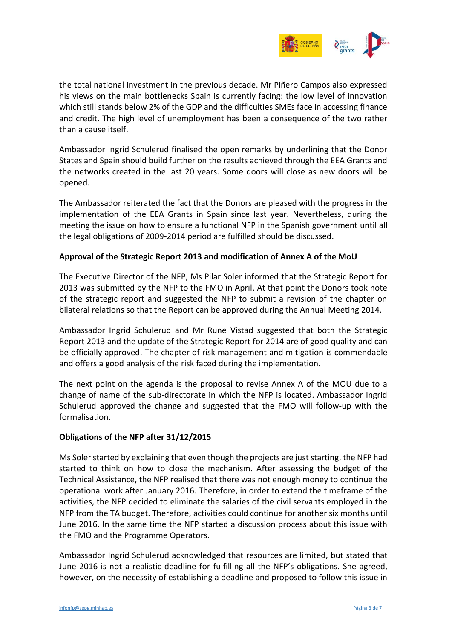

the total national investment in the previous decade. Mr Piñero Campos also expressed his views on the main bottlenecks Spain is currently facing: the low level of innovation which still stands below 2% of the GDP and the difficulties SMEs face in accessing finance and credit. The high level of unemployment has been a consequence of the two rather than a cause itself.

Ambassador Ingrid Schulerud finalised the open remarks by underlining that the Donor States and Spain should build further on the results achieved through the EEA Grants and the networks created in the last 20 years. Some doors will close as new doors will be opened.

The Ambassador reiterated the fact that the Donors are pleased with the progress in the implementation of the EEA Grants in Spain since last year. Nevertheless, during the meeting the issue on how to ensure a functional NFP in the Spanish government until all the legal obligations of 2009-2014 period are fulfilled should be discussed.

#### **Approval of the Strategic Report 2013 and modification of Annex A of the MoU**

The Executive Director of the NFP, Ms Pilar Soler informed that the Strategic Report for 2013 was submitted by the NFP to the FMO in April. At that point the Donors took note of the strategic report and suggested the NFP to submit a revision of the chapter on bilateral relations so that the Report can be approved during the Annual Meeting 2014.

Ambassador Ingrid Schulerud and Mr Rune Vistad suggested that both the Strategic Report 2013 and the update of the Strategic Report for 2014 are of good quality and can be officially approved. The chapter of risk management and mitigation is commendable and offers a good analysis of the risk faced during the implementation.

The next point on the agenda is the proposal to revise Annex A of the MOU due to a change of name of the sub-directorate in which the NFP is located. Ambassador Ingrid Schulerud approved the change and suggested that the FMO will follow-up with the formalisation.

### **Obligations of the NFP after 31/12/2015**

Ms Soler started by explaining that even though the projects are just starting, the NFP had started to think on how to close the mechanism. After assessing the budget of the Technical Assistance, the NFP realised that there was not enough money to continue the operational work after January 2016. Therefore, in order to extend the timeframe of the activities, the NFP decided to eliminate the salaries of the civil servants employed in the NFP from the TA budget. Therefore, activities could continue for another six months until June 2016. In the same time the NFP started a discussion process about this issue with the FMO and the Programme Operators.

Ambassador Ingrid Schulerud acknowledged that resources are limited, but stated that June 2016 is not a realistic deadline for fulfilling all the NFP's obligations. She agreed, however, on the necessity of establishing a deadline and proposed to follow this issue in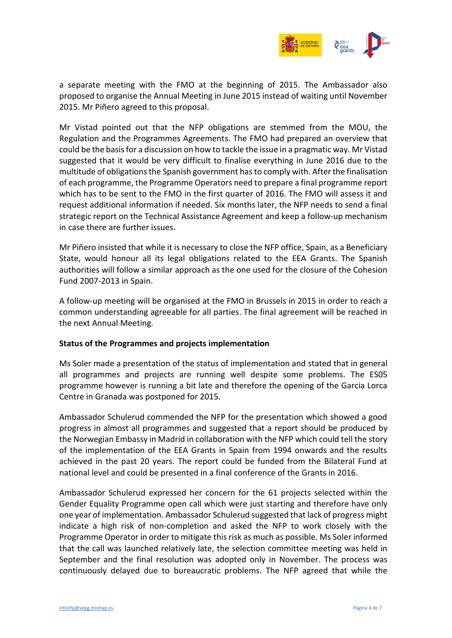

a separate meeting with the FMO at the beginning of 2015. The Ambassador also proposed to organise the Annual Meeting in June 2015 instead of waiting until November 2015. Mr Piñero agreed to this proposal.

Mr Vistad pointed out that the NFP obligations are stemmed from the MOU, the Regulation and the Programmes Agreements. The FMO had prepared an overview that could be the basis for a discussion on how to tackle the issue in a pragmatic way. Mr Vistad suggested that it would be very difficult to finalise everything in June 2016 due to the multitude of obligations the Spanish government hasto comply with. After the finalisation of each programme, the Programme Operators need to prepare a final programme report which has to be sent to the FMO in the first quarter of 2016. The FMO will assess it and request additional information if needed. Six months later, the NFP needs to send a final strategic report on the Technical Assistance Agreement and keep a follow-up mechanism in case there are further issues.

Mr Piñero insisted that while it is necessary to close the NFP office, Spain, as a Beneficiary State, would honour all its legal obligations related to the EEA Grants. The Spanish authorities will follow a similar approach as the one used for the closure of the Cohesion Fund 2007-2013 in Spain.

A follow-up meeting will be organised at the FMO in Brussels in 2015 in order to reach a common understanding agreeable for all parties. The final agreement will be reached in the next Annual Meeting.

#### **Status of the Programmes and projects implementation**

Ms Soler made a presentation of the status of implementation and stated that in general all programmes and projects are running well despite some problems. The ES05 programme however is running a bit late and therefore the opening of the Garcia Lorca Centre in Granada was postponed for 2015.

Ambassador Schulerud commended the NFP for the presentation which showed a good progress in almost all programmes and suggested that a report should be produced by the Norwegian Embassy in Madrid in collaboration with the NFP which could tell the story of the implementation of the EEA Grants in Spain from 1994 onwards and the results achieved in the past 20 years. The report could be funded from the Bilateral Fund at national level and could be presented in a final conference of the Grants in 2016.

Ambassador Schulerud expressed her concern for the 61 projects selected within the Gender Equality Programme open call which were just starting and therefore have only one year of implementation. Ambassador Schulerud suggested that lack of progress might indicate a high risk of non-completion and asked the NFP to work closely with the Programme Operator in order to mitigate this risk as much as possible. Ms Soler informed that the call was launched relatively late, the selection committee meeting was held in September and the final resolution was adopted only in November. The process was continuously delayed due to bureaucratic problems. The NFP agreed that while the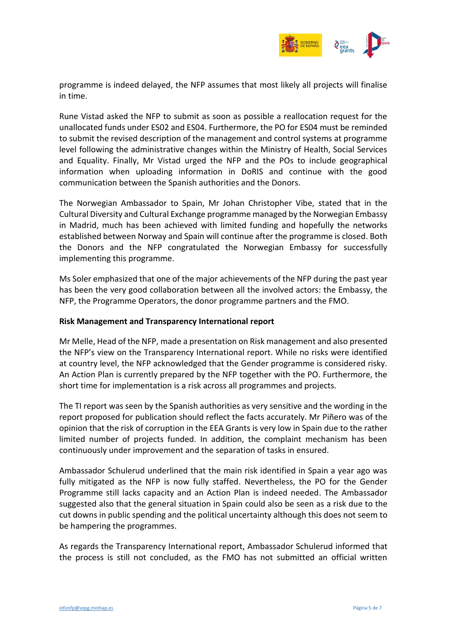

programme is indeed delayed, the NFP assumes that most likely all projects will finalise in time.

Rune Vistad asked the NFP to submit as soon as possible a reallocation request for the unallocated funds under ES02 and ES04. Furthermore, the PO for ES04 must be reminded to submit the revised description of the management and control systems at programme level following the administrative changes within the Ministry of Health, Social Services and Equality. Finally, Mr Vistad urged the NFP and the POs to include geographical information when uploading information in DoRIS and continue with the good communication between the Spanish authorities and the Donors.

The Norwegian Ambassador to Spain, Mr Johan Christopher Vibe, stated that in the Cultural Diversity and Cultural Exchange programme managed by the Norwegian Embassy in Madrid, much has been achieved with limited funding and hopefully the networks established between Norway and Spain will continue after the programme is closed. Both the Donors and the NFP congratulated the Norwegian Embassy for successfully implementing this programme.

Ms Soler emphasized that one of the major achievements of the NFP during the past year has been the very good collaboration between all the involved actors: the Embassy, the NFP, the Programme Operators, the donor programme partners and the FMO.

#### **Risk Management and Transparency International report**

Mr Melle, Head of the NFP, made a presentation on Risk management and also presented the NFP's view on the Transparency International report. While no risks were identified at country level, the NFP acknowledged that the Gender programme is considered risky. An Action Plan is currently prepared by the NFP together with the PO. Furthermore, the short time for implementation is a risk across all programmes and projects.

The TI report was seen by the Spanish authorities as very sensitive and the wording in the report proposed for publication should reflect the facts accurately. Mr Piñero was of the opinion that the risk of corruption in the EEA Grants is very low in Spain due to the rather limited number of projects funded. In addition, the complaint mechanism has been continuously under improvement and the separation of tasks in ensured.

Ambassador Schulerud underlined that the main risk identified in Spain a year ago was fully mitigated as the NFP is now fully staffed. Nevertheless, the PO for the Gender Programme still lacks capacity and an Action Plan is indeed needed. The Ambassador suggested also that the general situation in Spain could also be seen as a risk due to the cut downs in public spending and the political uncertainty although this does not seem to be hampering the programmes.

As regards the Transparency International report, Ambassador Schulerud informed that the process is still not concluded, as the FMO has not submitted an official written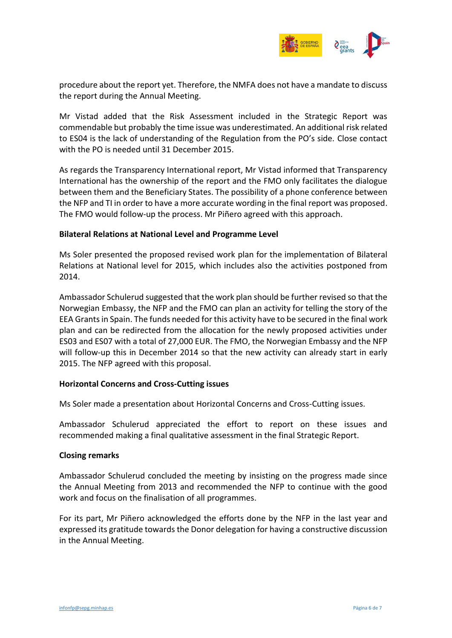

procedure about the report yet. Therefore, the NMFA does not have a mandate to discuss the report during the Annual Meeting.

Mr Vistad added that the Risk Assessment included in the Strategic Report was commendable but probably the time issue was underestimated. An additional risk related to ES04 is the lack of understanding of the Regulation from the PO's side. Close contact with the PO is needed until 31 December 2015.

As regards the Transparency International report, Mr Vistad informed that Transparency International has the ownership of the report and the FMO only facilitates the dialogue between them and the Beneficiary States. The possibility of a phone conference between the NFP and TI in order to have a more accurate wording in the final report was proposed. The FMO would follow-up the process. Mr Piñero agreed with this approach.

#### **Bilateral Relations at National Level and Programme Level**

Ms Soler presented the proposed revised work plan for the implementation of Bilateral Relations at National level for 2015, which includes also the activities postponed from 2014.

Ambassador Schulerud suggested that the work plan should be further revised so that the Norwegian Embassy, the NFP and the FMO can plan an activity for telling the story of the EEA Grants in Spain. The funds needed for this activity have to be secured in the final work plan and can be redirected from the allocation for the newly proposed activities under ES03 and ES07 with a total of 27,000 EUR. The FMO, the Norwegian Embassy and the NFP will follow-up this in December 2014 so that the new activity can already start in early 2015. The NFP agreed with this proposal.

#### **Horizontal Concerns and Cross-Cutting issues**

Ms Soler made a presentation about Horizontal Concerns and Cross-Cutting issues.

Ambassador Schulerud appreciated the effort to report on these issues and recommended making a final qualitative assessment in the final Strategic Report.

#### **Closing remarks**

Ambassador Schulerud concluded the meeting by insisting on the progress made since the Annual Meeting from 2013 and recommended the NFP to continue with the good work and focus on the finalisation of all programmes.

For its part, Mr Piñero acknowledged the efforts done by the NFP in the last year and expressed its gratitude towards the Donor delegation for having a constructive discussion in the Annual Meeting.